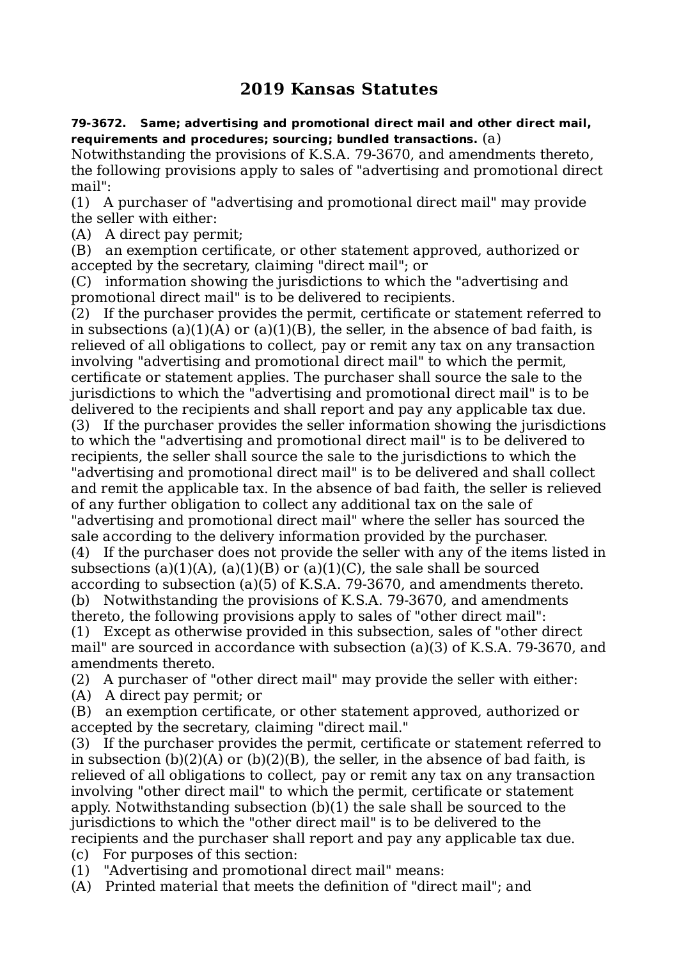## **2019 Kansas Statutes**

## **79-3672. Same; advertising and promotional direct mail and other direct mail, requirements and procedures; sourcing; bundled transactions.** (a)

Notwithstanding the provisions of K.S.A. 79-3670, and amendments thereto, the following provisions apply to sales of "advertising and promotional direct mail":

(1) A purchaser of "advertising and promotional direct mail" may provide the seller with either:

(A) A direct pay permit;

(B) an exemption certificate, or other statement approved, authorized or accepted by the secretary, claiming "direct mail"; or

(C) information showing the jurisdictions to which the "advertising and promotional direct mail" is to be delivered to recipients.

(2) If the purchaser provides the permit, certificate or statement referred to in subsections (a)(1)(A) or (a)(1)(B), the seller, in the absence of bad faith, is relieved of all obligations to collect, pay or remit any tax on any transaction involving "advertising and promotional direct mail" to which the permit, certificate or statement applies. The purchaser shall source the sale to the jurisdictions to which the "advertising and promotional direct mail" is to be delivered to the recipients and shall report and pay any applicable tax due.

(3) If the purchaser provides the seller information showing the jurisdictions to which the "advertising and promotional direct mail" is to be delivered to recipients, the seller shall source the sale to the jurisdictions to which the "advertising and promotional direct mail" is to be delivered and shall collect and remit the applicable tax. In the absence of bad faith, the seller is relieved of any further obligation to collect any additional tax on the sale of "advertising and promotional direct mail" where the seller has sourced the

sale according to the delivery information provided by the purchaser. (4) If the purchaser does not provide the seller with any of the items listed in subsections (a)(1)(A), (a)(1)(B) or (a)(1)(C), the sale shall be sourced according to subsection (a)(5) of K.S.A. 79-3670, and amendments thereto. (b) Notwithstanding the provisions of K.S.A. 79-3670, and amendments

thereto, the following provisions apply to sales of "other direct mail": (1) Except as otherwise provided in this subsection, sales of "other direct mail" are sourced in accordance with subsection (a)(3) of K.S.A. 79-3670, and amendments thereto.

(2) A purchaser of "other direct mail" may provide the seller with either: (A) A direct pay permit; or

(B) an exemption certificate, or other statement approved, authorized or accepted by the secretary, claiming "direct mail."

(3) If the purchaser provides the permit, certificate or statement referred to in subsection  $(b)(2)(A)$  or  $(b)(2)(B)$ , the seller, in the absence of bad faith, is relieved of all obligations to collect, pay or remit any tax on any transaction involving "other direct mail" to which the permit, certificate or statement apply. Notwithstanding subsection (b)(1) the sale shall be sourced to the jurisdictions to which the "other direct mail" is to be delivered to the recipients and the purchaser shall report and pay any applicable tax due. (c) For purposes of this section:

(1) "Advertising and promotional direct mail" means:

(A) Printed material that meets the definition of "direct mail"; and